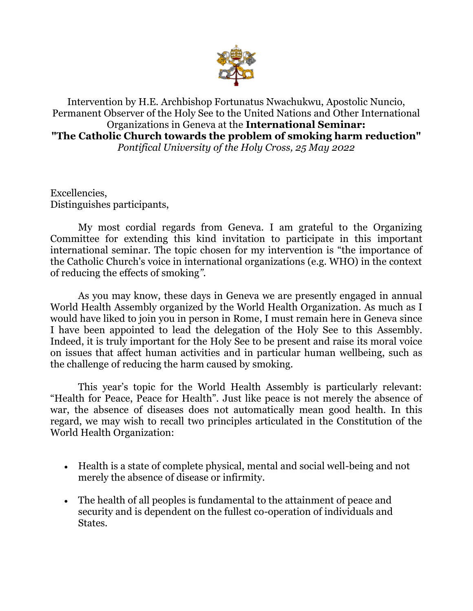

Intervention by H.E. Archbishop Fortunatus Nwachukwu, Apostolic Nuncio, Permanent Observer of the Holy See to the United Nations and Other International Organizations in Geneva at the **International Seminar: "The Catholic Church towards the problem of smoking harm reduction"** *Pontifical University of the Holy Cross, 25 May 2022*

Excellencies, Distinguishes participants,

My most cordial regards from Geneva. I am grateful to the Organizing Committee for extending this kind invitation to participate in this important international seminar. The topic chosen for my intervention is "the importance of the Catholic Church's voice in international organizations (e.g. WHO) in the context of reducing the effects of smoking*".*

As you may know, these days in Geneva we are presently engaged in annual World Health Assembly organized by the World Health Organization. As much as I would have liked to join you in person in Rome, I must remain here in Geneva since I have been appointed to lead the delegation of the Holy See to this Assembly. Indeed, it is truly important for the Holy See to be present and raise its moral voice on issues that affect human activities and in particular human wellbeing, such as the challenge of reducing the harm caused by smoking.

This year's topic for the World Health Assembly is particularly relevant: "Health for Peace, Peace for Health". Just like peace is not merely the absence of war, the absence of diseases does not automatically mean good health. In this regard, we may wish to recall two principles articulated in the Constitution of the World Health Organization:

- Health is a state of complete physical, mental and social well-being and not merely the absence of disease or infirmity.
- The health of all peoples is fundamental to the attainment of peace and security and is dependent on the fullest co-operation of individuals and States.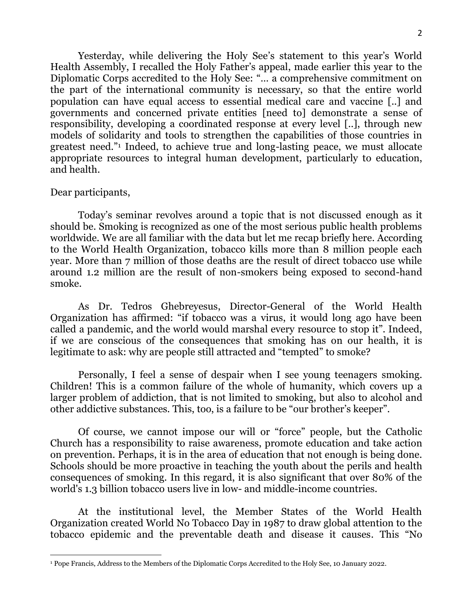Yesterday, while delivering the Holy See's statement to this year's World Health Assembly, I recalled the Holy Father's appeal, made earlier this year to the Diplomatic Corps accredited to the Holy See: "… a comprehensive commitment on the part of the international community is necessary, so that the entire world population can have equal access to essential medical care and vaccine [..] and governments and concerned private entities [need to] demonstrate a sense of responsibility, developing a coordinated response at every level [..], through new models of solidarity and tools to strengthen the capabilities of those countries in greatest need."<sup>1</sup> Indeed, to achieve true and long-lasting peace, we must allocate appropriate resources to integral human development, particularly to education, and health.

## Dear participants,

Today's seminar revolves around a topic that is not discussed enough as it should be. Smoking is recognized as one of the most serious public health problems worldwide. We are all familiar with the data but let me recap briefly here. According to the World Health Organization, tobacco kills more than 8 million people each year. More than 7 million of those deaths are the result of direct tobacco use while around 1.2 million are the result of non-smokers being exposed to second-hand smoke.

As Dr. Tedros Ghebreyesus, Director-General of the World Health Organization has affirmed: "if tobacco was a virus, it would long ago have been called a pandemic, and the world would marshal every resource to stop it". Indeed, if we are conscious of the consequences that smoking has on our health, it is legitimate to ask: why are people still attracted and "tempted" to smoke?

Personally, I feel a sense of despair when I see young teenagers smoking. Children! This is a common failure of the whole of humanity, which covers up a larger problem of addiction, that is not limited to smoking, but also to alcohol and other addictive substances. This, too, is a failure to be "our brother's keeper".

Of course, we cannot impose our will or "force" people, but the Catholic Church has a responsibility to raise awareness, promote education and take action on prevention. Perhaps, it is in the area of education that not enough is being done. Schools should be more proactive in teaching the youth about the perils and health consequences of smoking. In this regard, it is also significant that over 80% of the world's 1.3 billion tobacco users live in low- and middle-income countries.

At the institutional level, the Member States of the World Health Organization created World No Tobacco Day in 1987 to draw global attention to the tobacco epidemic and the preventable death and disease it causes. This "No

<sup>1</sup> Pope Francis, Address to the Members of the Diplomatic Corps Accredited to the Holy See, 10 January 2022.